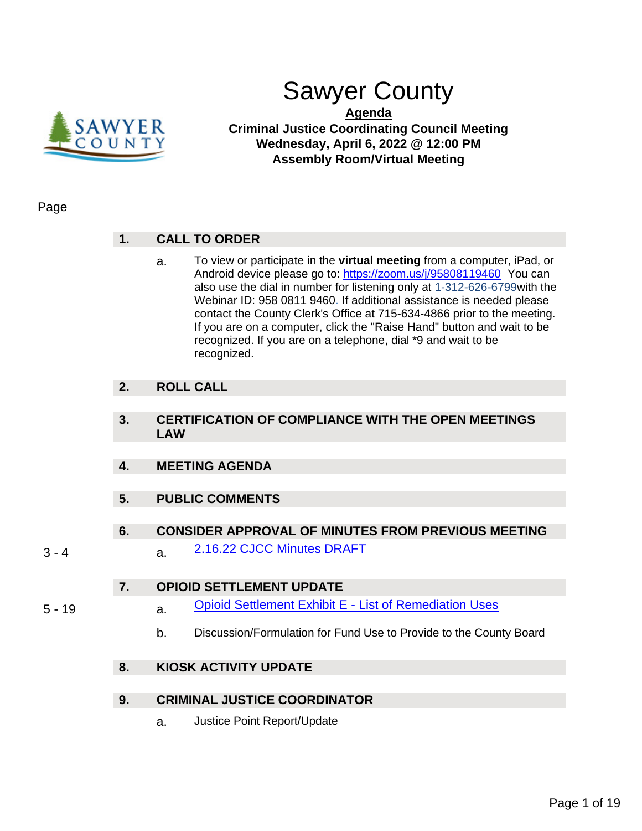

# Sawyer County

**Agenda Criminal Justice Coordinating Council Meeting Wednesday, April 6, 2022 @ 12:00 PM Assembly Room/Virtual Meeting**

# Page

# **1. CALL TO ORDER**

a. To view or participate in the **virtual meeting** from a computer, iPad, or Android device please go to: [https://zoom.us/j/95808119460](https://us02web.zoom.us/j/83970250533?pwd=RG9ZUy9vWWNOcFI5T2pCOEJzMjR0QT09) You can also use the dial in number for listening only at 1-312-626-6799with the Webinar ID: 958 0811 9460. If additional assistance is needed please contact the County Clerk's Office at 715-634-4866 prior to the meeting. If you are on a computer, click the "Raise Hand" button and wait to be recognized. If you are on a telephone, dial \*9 and wait to be recognized.

# **2. ROLL CALL**

- **3. CERTIFICATION OF COMPLIANCE WITH THE OPEN MEETINGS LAW**
- **4. MEETING AGENDA**
- **5. PUBLIC COMMENTS**
- **6. CONSIDER APPROVAL OF MINUTES FROM PREVIOUS MEETING**
- 3 4 **a.** [2.16.22 CJCC Minutes DRAFT](#page-2-0)

# **7. OPIOID SETTLEMENT UPDATE**

- 
- 5 19 **a.** [Opioid Settlement Exhibit E -](#page-4-0) List of Remediation Uses
	- b. Discussion/Formulation for Fund Use to Provide to the County Board

# **8. KIOSK ACTIVITY UPDATE**

# **9. CRIMINAL JUSTICE COORDINATOR**

a. Justice Point Report/Update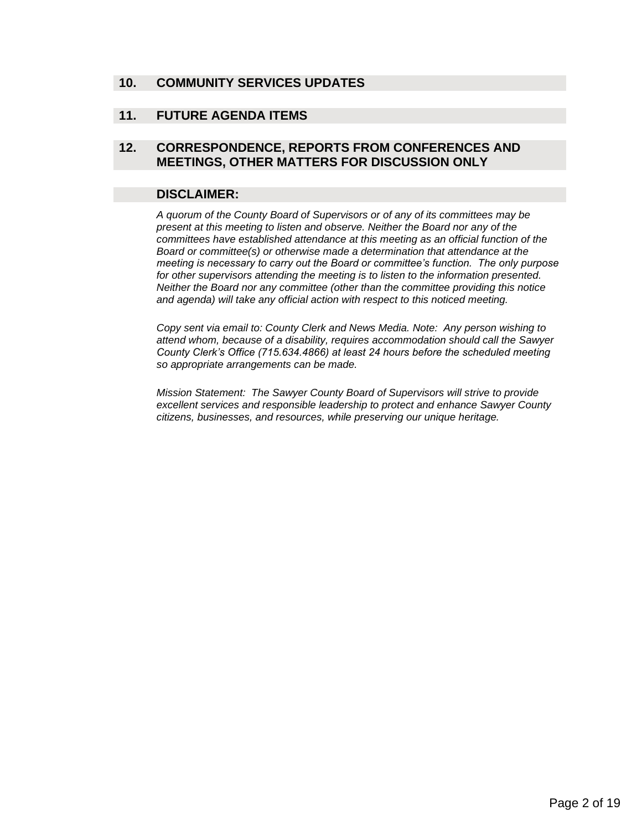# **10. COMMUNITY SERVICES UPDATES**

# **11. FUTURE AGENDA ITEMS**

# **12. CORRESPONDENCE, REPORTS FROM CONFERENCES AND MEETINGS, OTHER MATTERS FOR DISCUSSION ONLY**

## **DISCLAIMER:**

*A quorum of the County Board of Supervisors or of any of its committees may be present at this meeting to listen and observe. Neither the Board nor any of the committees have established attendance at this meeting as an official function of the Board or committee(s) or otherwise made a determination that attendance at the meeting is necessary to carry out the Board or committee's function. The only purpose for other supervisors attending the meeting is to listen to the information presented. Neither the Board nor any committee (other than the committee providing this notice and agenda) will take any official action with respect to this noticed meeting.*

*Copy sent via email to: County Clerk and News Media. Note: Any person wishing to attend whom, because of a disability, requires accommodation should call the Sawyer County Clerk's Office (715.634.4866) at least 24 hours before the scheduled meeting so appropriate arrangements can be made.* 

*Mission Statement: The Sawyer County Board of Supervisors will strive to provide excellent services and responsible leadership to protect and enhance Sawyer County citizens, businesses, and resources, while preserving our unique heritage.*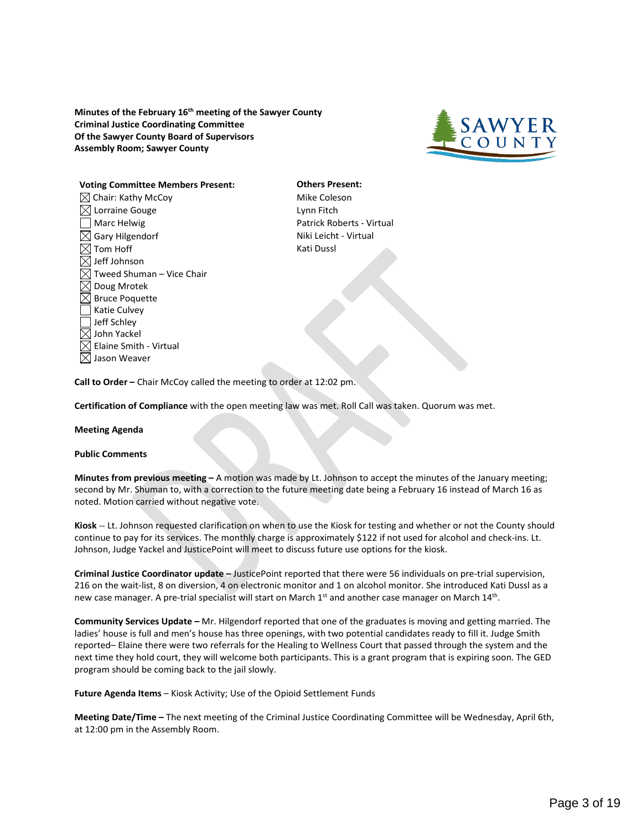<span id="page-2-0"></span>**Minutes of the February 16th meeting of the Sawyer County Criminal Justice Coordinating Committee Of the Sawyer County Board of Supervisors Assembly Room; Sawyer County**



#### **Voting Committee Members Present: Others Present:**

 $\boxtimes$  Chair: Kathy McCoy  $\Box$  Mike Coleson  $\boxtimes$  Lorraine Gouge Lynn Fitch Marc Helwig **Patrick Roberts - Virtual**  $\boxtimes$  Gary Hilgendorf  $\blacksquare$  $\boxtimes$  Tom Hoff  $\blacksquare$  $\boxtimes$  Jeff Johnson  $\boxtimes$  Tweed Shuman – Vice Chair  $\boxtimes$  Doug Mrotek  $\boxtimes$  Bruce Poquette Katie Culvey Jeff Schley  $\boxtimes$  John Yackel  $\boxtimes$  Elaine Smith - Virtual  $\boxtimes$  Jason Weaver

**Call to Order –** Chair McCoy called the meeting to order at 12:02 pm.

**Certification of Compliance** with the open meeting law was met. Roll Call was taken. Quorum was met.

#### **Meeting Agenda**

#### **Public Comments**

**Minutes from previous meeting –** A motion was made by Lt. Johnson to accept the minutes of the January meeting; second by Mr. Shuman to, with a correction to the future meeting date being a February 16 instead of March 16 as noted. Motion carried without negative vote.

**Kiosk** -- Lt. Johnson requested clarification on when to use the Kiosk for testing and whether or not the County should continue to pay for its services. The monthly charge is approximately \$122 if not used for alcohol and check-ins. Lt. Johnson, Judge Yackel and JusticePoint will meet to discuss future use options for the kiosk.

**Criminal Justice Coordinator update –** JusticePoint reported that there were 56 individuals on pre-trial supervision, 216 on the wait-list, 8 on diversion, 4 on electronic monitor and 1 on alcohol monitor. She introduced Kati Dussl as a new case manager. A pre-trial specialist will start on March 1<sup>st</sup> and another case manager on March 14<sup>th</sup>.

**Community Services Update –** Mr. Hilgendorf reported that one of the graduates is moving and getting married. The ladies' house is full and men's house has three openings, with two potential candidates ready to fill it. Judge Smith reported– Elaine there were two referrals for the Healing to Wellness Court that passed through the system and the next time they hold court, they will welcome both participants. This is a grant program that is expiring soon. The GED program should be coming back to the jail slowly.

**Future Agenda Items** – Kiosk Activity; Use of the Opioid Settlement Funds

**Meeting Date/Time –** The next meeting of the Criminal Justice Coordinating Committee will be Wednesday, April 6th, at 12:00 pm in the Assembly Room.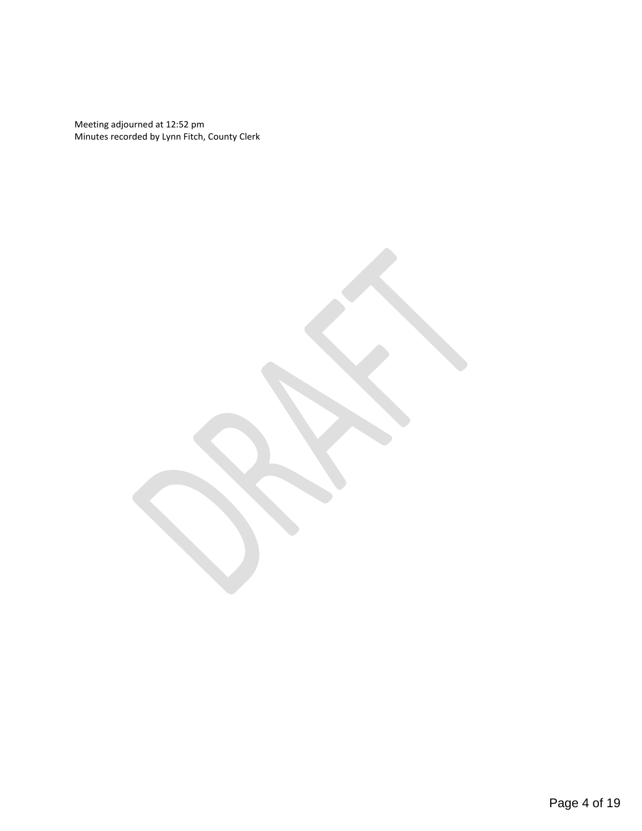Meeting adjourned at 12:52 pm Minutes recorded by Lynn Fitch, County Clerk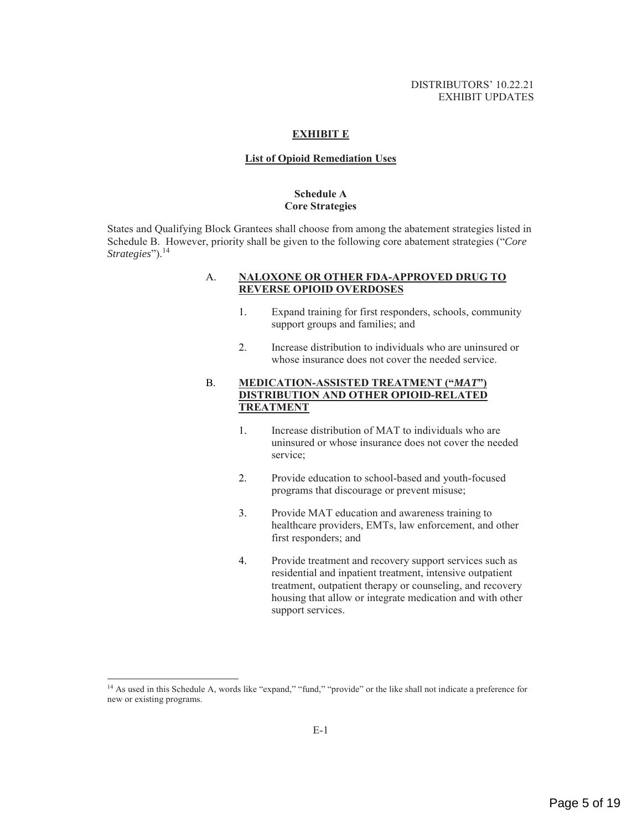#### **EXHIBIT E**

#### **List of Opioid Remediation Uses**

#### **Schedule A Core Strategies**

<span id="page-4-0"></span>States and Qualifying Block Grantees shall choose from among the abatement strategies listed in Schedule B. However, priority shall be given to the following core abatement strategies ("*Core Strategies*").<sup>14</sup>

#### A. **NALOXONE OR OTHER FDA-APPROVED DRUG TO REVERSE OPIOID OVERDOSES**

- 1. Expand training for first responders, schools, community support groups and families; and
- 2. Increase distribution to individuals who are uninsured or whose insurance does not cover the needed service.

## B. **MEDICATION-ASSISTED TREATMENT ("***MAT***") DISTRIBUTION AND OTHER OPIOID-RELATED TREATMENT**

- 1. Increase distribution of MAT to individuals who are uninsured or whose insurance does not cover the needed service;
- 2. Provide education to school-based and youth-focused programs that discourage or prevent misuse;
- 3. Provide MAT education and awareness training to healthcare providers, EMTs, law enforcement, and other first responders; and
- 4. Provide treatment and recovery support services such as residential and inpatient treatment, intensive outpatient treatment, outpatient therapy or counseling, and recovery housing that allow or integrate medication and with other support services.

<sup>&</sup>lt;sup>14</sup> As used in this Schedule A, words like "expand," "fund," "provide" or the like shall not indicate a preference for new or existing programs.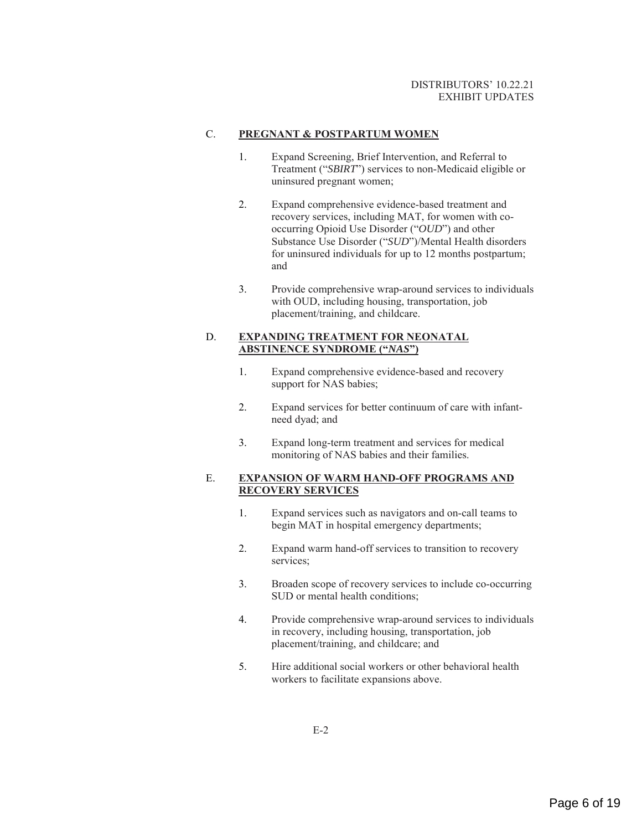#### C. **PREGNANT & POSTPARTUM WOMEN**

- 1. Expand Screening, Brief Intervention, and Referral to Treatment ("*SBIRT*") services to non-Medicaid eligible or uninsured pregnant women;
- 2. Expand comprehensive evidence-based treatment and recovery services, including MAT, for women with cooccurring Opioid Use Disorder ("*OUD*") and other Substance Use Disorder ("*SUD*")/Mental Health disorders for uninsured individuals for up to 12 months postpartum; and
- 3. Provide comprehensive wrap-around services to individuals with OUD, including housing, transportation, job placement/training, and childcare.

## D. **EXPANDING TREATMENT FOR NEONATAL ABSTINENCE SYNDROME ("***NAS***")**

- 1. Expand comprehensive evidence-based and recovery support for NAS babies;
- 2. Expand services for better continuum of care with infantneed dyad; and
- 3. Expand long-term treatment and services for medical monitoring of NAS babies and their families.

## E. **EXPANSION OF WARM HAND-OFF PROGRAMS AND RECOVERY SERVICES**

- 1. Expand services such as navigators and on-call teams to begin MAT in hospital emergency departments;
- 2. Expand warm hand-off services to transition to recovery services;
- 3. Broaden scope of recovery services to include co-occurring SUD or mental health conditions;
- 4. Provide comprehensive wrap-around services to individuals in recovery, including housing, transportation, job placement/training, and childcare; and
- 5. Hire additional social workers or other behavioral health workers to facilitate expansions above.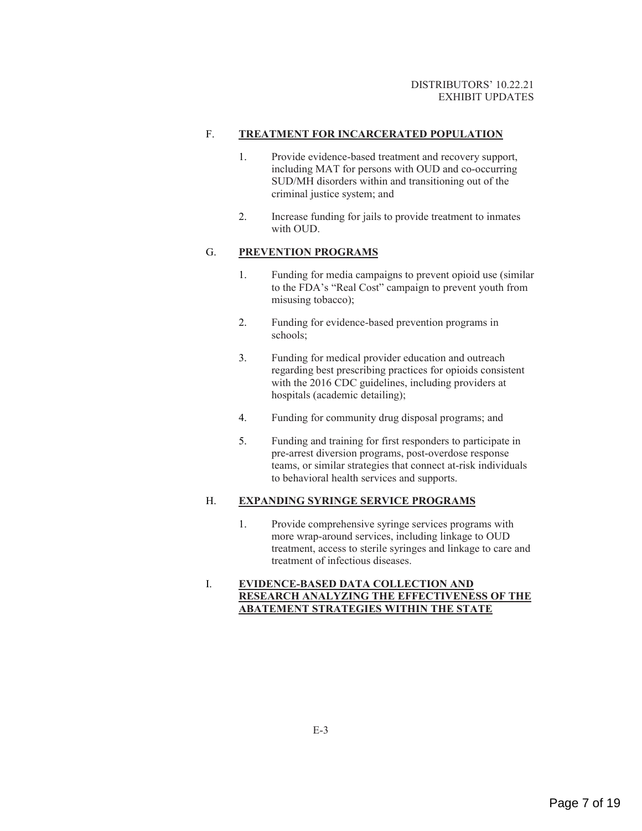## F. **TREATMENT FOR INCARCERATED POPULATION**

- 1. Provide evidence-based treatment and recovery support, including MAT for persons with OUD and co-occurring SUD/MH disorders within and transitioning out of the criminal justice system; and
- 2. Increase funding for jails to provide treatment to inmates with OUD.

### G. **PREVENTION PROGRAMS**

- 1. Funding for media campaigns to prevent opioid use (similar to the FDA's "Real Cost" campaign to prevent youth from misusing tobacco);
- 2. Funding for evidence-based prevention programs in schools;
- 3. Funding for medical provider education and outreach regarding best prescribing practices for opioids consistent with the 2016 CDC guidelines, including providers at hospitals (academic detailing);
- 4. Funding for community drug disposal programs; and
- 5. Funding and training for first responders to participate in pre-arrest diversion programs, post-overdose response teams, or similar strategies that connect at-risk individuals to behavioral health services and supports.

#### H. **EXPANDING SYRINGE SERVICE PROGRAMS**

1. Provide comprehensive syringe services programs with more wrap-around services, including linkage to OUD treatment, access to sterile syringes and linkage to care and treatment of infectious diseases.

#### I. **EVIDENCE-BASED DATA COLLECTION AND RESEARCH ANALYZING THE EFFECTIVENESS OF THE ABATEMENT STRATEGIES WITHIN THE STATE**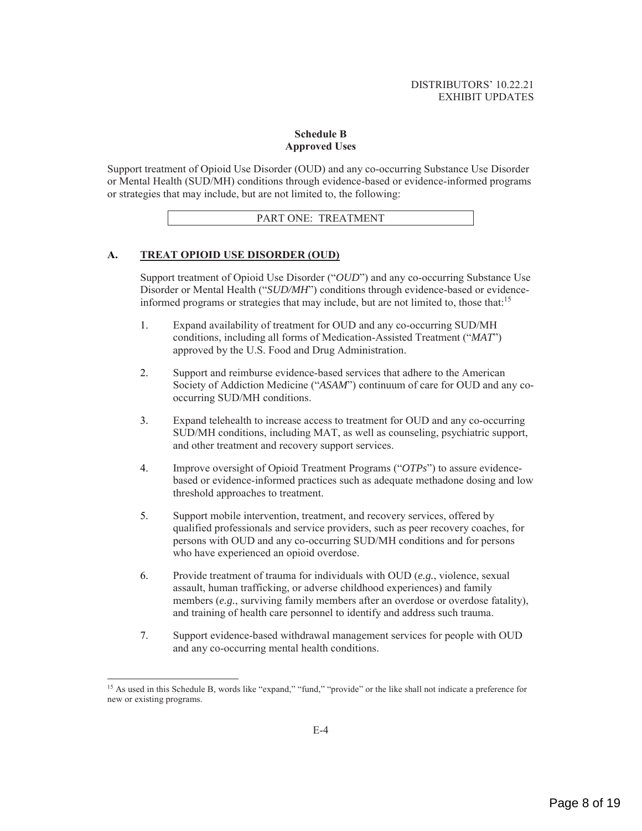#### **Schedule B Approved Uses**

Support treatment of Opioid Use Disorder (OUD) and any co-occurring Substance Use Disorder or Mental Health (SUD/MH) conditions through evidence-based or evidence-informed programs or strategies that may include, but are not limited to, the following:

PART ONE: TREATMENT

## **A. TREAT OPIOID USE DISORDER (OUD)**

Support treatment of Opioid Use Disorder ("*OUD*") and any co-occurring Substance Use Disorder or Mental Health ("*SUD/MH*") conditions through evidence-based or evidenceinformed programs or strategies that may include, but are not limited to, those that:15

- 1. Expand availability of treatment for OUD and any co-occurring SUD/MH conditions, including all forms of Medication-Assisted Treatment ("*MAT*") approved by the U.S. Food and Drug Administration.
- 2. Support and reimburse evidence-based services that adhere to the American Society of Addiction Medicine ("*ASAM*") continuum of care for OUD and any cooccurring SUD/MH conditions.
- 3. Expand telehealth to increase access to treatment for OUD and any co-occurring SUD/MH conditions, including MAT, as well as counseling, psychiatric support, and other treatment and recovery support services.
- 4. Improve oversight of Opioid Treatment Programs ("*OTPs*") to assure evidencebased or evidence-informed practices such as adequate methadone dosing and low threshold approaches to treatment.
- 5. Support mobile intervention, treatment, and recovery services, offered by qualified professionals and service providers, such as peer recovery coaches, for persons with OUD and any co-occurring SUD/MH conditions and for persons who have experienced an opioid overdose.
- 6. Provide treatment of trauma for individuals with OUD (*e.g.*, violence, sexual assault, human trafficking, or adverse childhood experiences) and family members (*e.g.*, surviving family members after an overdose or overdose fatality), and training of health care personnel to identify and address such trauma.
- 7. Support evidence-based withdrawal management services for people with OUD and any co-occurring mental health conditions.

<sup>&</sup>lt;sup>15</sup> As used in this Schedule B, words like "expand," "fund," "provide" or the like shall not indicate a preference for new or existing programs.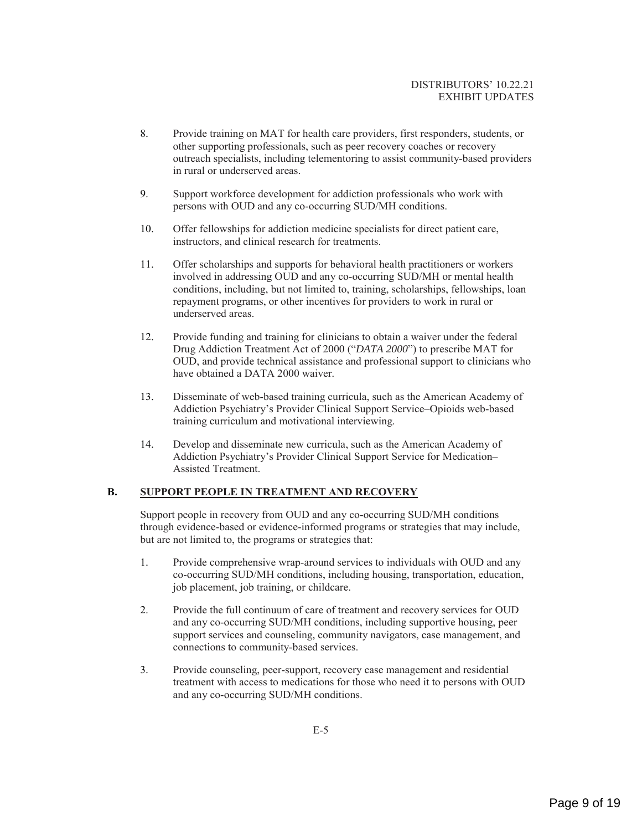- 8. Provide training on MAT for health care providers, first responders, students, or other supporting professionals, such as peer recovery coaches or recovery outreach specialists, including telementoring to assist community-based providers in rural or underserved areas.
- 9. Support workforce development for addiction professionals who work with persons with OUD and any co-occurring SUD/MH conditions.
- 10. Offer fellowships for addiction medicine specialists for direct patient care, instructors, and clinical research for treatments.
- 11. Offer scholarships and supports for behavioral health practitioners or workers involved in addressing OUD and any co-occurring SUD/MH or mental health conditions, including, but not limited to, training, scholarships, fellowships, loan repayment programs, or other incentives for providers to work in rural or underserved areas.
- 12. Provide funding and training for clinicians to obtain a waiver under the federal Drug Addiction Treatment Act of 2000 ("*DATA 2000*") to prescribe MAT for OUD, and provide technical assistance and professional support to clinicians who have obtained a DATA 2000 waiver.
- 13. Disseminate of web-based training curricula, such as the American Academy of Addiction Psychiatry's Provider Clinical Support Service–Opioids web-based training curriculum and motivational interviewing.
- 14. Develop and disseminate new curricula, such as the American Academy of Addiction Psychiatry's Provider Clinical Support Service for Medication– Assisted Treatment.

#### **B. SUPPORT PEOPLE IN TREATMENT AND RECOVERY**

Support people in recovery from OUD and any co-occurring SUD/MH conditions through evidence-based or evidence-informed programs or strategies that may include, but are not limited to, the programs or strategies that:

- 1. Provide comprehensive wrap-around services to individuals with OUD and any co-occurring SUD/MH conditions, including housing, transportation, education, job placement, job training, or childcare.
- 2. Provide the full continuum of care of treatment and recovery services for OUD and any co-occurring SUD/MH conditions, including supportive housing, peer support services and counseling, community navigators, case management, and connections to community-based services.
- 3. Provide counseling, peer-support, recovery case management and residential treatment with access to medications for those who need it to persons with OUD and any co-occurring SUD/MH conditions.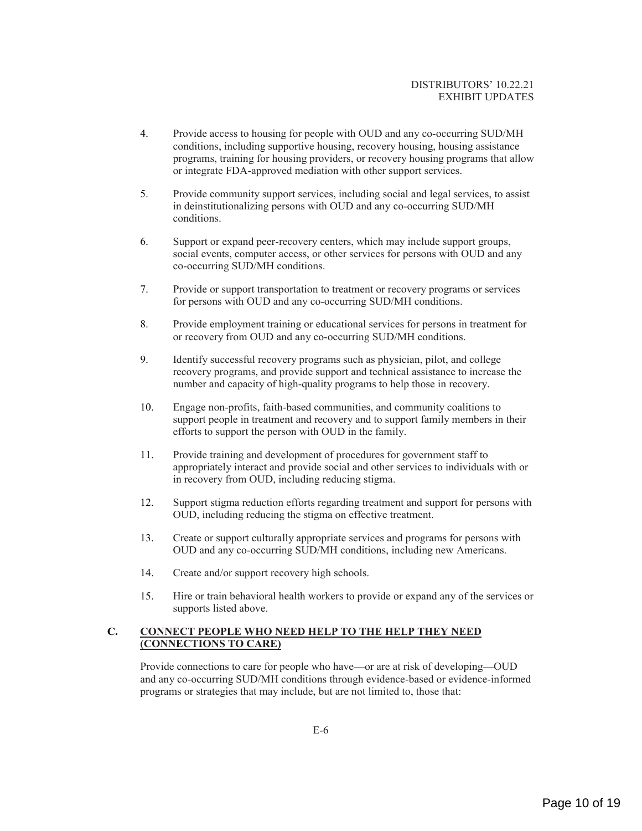- 4. Provide access to housing for people with OUD and any co-occurring SUD/MH conditions, including supportive housing, recovery housing, housing assistance programs, training for housing providers, or recovery housing programs that allow or integrate FDA-approved mediation with other support services.
- 5. Provide community support services, including social and legal services, to assist in deinstitutionalizing persons with OUD and any co-occurring SUD/MH conditions.
- 6. Support or expand peer-recovery centers, which may include support groups, social events, computer access, or other services for persons with OUD and any co-occurring SUD/MH conditions.
- 7. Provide or support transportation to treatment or recovery programs or services for persons with OUD and any co-occurring SUD/MH conditions.
- 8. Provide employment training or educational services for persons in treatment for or recovery from OUD and any co-occurring SUD/MH conditions.
- 9. Identify successful recovery programs such as physician, pilot, and college recovery programs, and provide support and technical assistance to increase the number and capacity of high-quality programs to help those in recovery.
- 10. Engage non-profits, faith-based communities, and community coalitions to support people in treatment and recovery and to support family members in their efforts to support the person with OUD in the family.
- 11. Provide training and development of procedures for government staff to appropriately interact and provide social and other services to individuals with or in recovery from OUD, including reducing stigma.
- 12. Support stigma reduction efforts regarding treatment and support for persons with OUD, including reducing the stigma on effective treatment.
- 13. Create or support culturally appropriate services and programs for persons with OUD and any co-occurring SUD/MH conditions, including new Americans.
- 14. Create and/or support recovery high schools.
- 15. Hire or train behavioral health workers to provide or expand any of the services or supports listed above.

## **C. CONNECT PEOPLE WHO NEED HELP TO THE HELP THEY NEED (CONNECTIONS TO CARE)**

Provide connections to care for people who have—or are at risk of developing—OUD and any co-occurring SUD/MH conditions through evidence-based or evidence-informed programs or strategies that may include, but are not limited to, those that: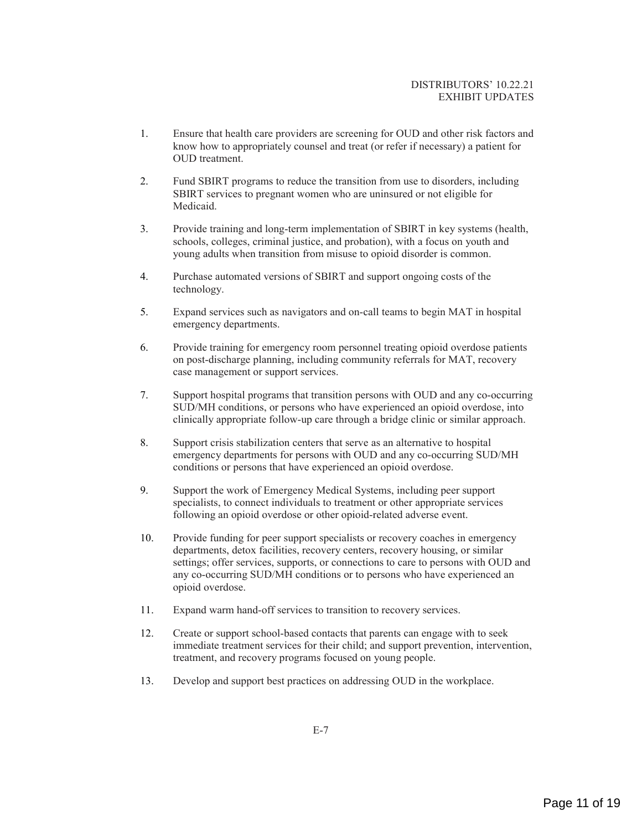- 1. Ensure that health care providers are screening for OUD and other risk factors and know how to appropriately counsel and treat (or refer if necessary) a patient for OUD treatment.
- 2. Fund SBIRT programs to reduce the transition from use to disorders, including SBIRT services to pregnant women who are uninsured or not eligible for **Medicaid**
- 3. Provide training and long-term implementation of SBIRT in key systems (health, schools, colleges, criminal justice, and probation), with a focus on youth and young adults when transition from misuse to opioid disorder is common.
- 4. Purchase automated versions of SBIRT and support ongoing costs of the technology.
- 5. Expand services such as navigators and on-call teams to begin MAT in hospital emergency departments.
- 6. Provide training for emergency room personnel treating opioid overdose patients on post-discharge planning, including community referrals for MAT, recovery case management or support services.
- 7. Support hospital programs that transition persons with OUD and any co-occurring SUD/MH conditions, or persons who have experienced an opioid overdose, into clinically appropriate follow-up care through a bridge clinic or similar approach.
- 8. Support crisis stabilization centers that serve as an alternative to hospital emergency departments for persons with OUD and any co-occurring SUD/MH conditions or persons that have experienced an opioid overdose.
- 9. Support the work of Emergency Medical Systems, including peer support specialists, to connect individuals to treatment or other appropriate services following an opioid overdose or other opioid-related adverse event.
- 10. Provide funding for peer support specialists or recovery coaches in emergency departments, detox facilities, recovery centers, recovery housing, or similar settings; offer services, supports, or connections to care to persons with OUD and any co-occurring SUD/MH conditions or to persons who have experienced an opioid overdose.
- 11. Expand warm hand-off services to transition to recovery services.
- 12. Create or support school-based contacts that parents can engage with to seek immediate treatment services for their child; and support prevention, intervention, treatment, and recovery programs focused on young people.
- 13. Develop and support best practices on addressing OUD in the workplace.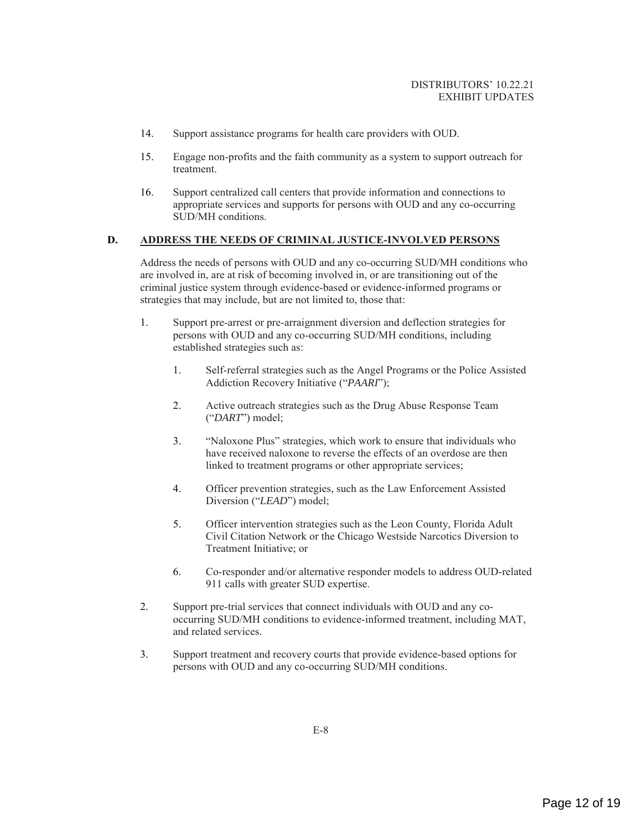- 14. Support assistance programs for health care providers with OUD.
- 15. Engage non-profits and the faith community as a system to support outreach for treatment.
- 16. Support centralized call centers that provide information and connections to appropriate services and supports for persons with OUD and any co-occurring SUD/MH conditions.

## **D. ADDRESS THE NEEDS OF CRIMINAL JUSTICE-INVOLVED PERSONS**

Address the needs of persons with OUD and any co-occurring SUD/MH conditions who are involved in, are at risk of becoming involved in, or are transitioning out of the criminal justice system through evidence-based or evidence-informed programs or strategies that may include, but are not limited to, those that:

- 1. Support pre-arrest or pre-arraignment diversion and deflection strategies for persons with OUD and any co-occurring SUD/MH conditions, including established strategies such as:
	- 1. Self-referral strategies such as the Angel Programs or the Police Assisted Addiction Recovery Initiative ("*PAARI*");
	- 2. Active outreach strategies such as the Drug Abuse Response Team ("*DART*") model;
	- 3. "Naloxone Plus" strategies, which work to ensure that individuals who have received naloxone to reverse the effects of an overdose are then linked to treatment programs or other appropriate services;
	- 4. Officer prevention strategies, such as the Law Enforcement Assisted Diversion ("*LEAD*") model;
	- 5. Officer intervention strategies such as the Leon County, Florida Adult Civil Citation Network or the Chicago Westside Narcotics Diversion to Treatment Initiative; or
	- 6. Co-responder and/or alternative responder models to address OUD-related 911 calls with greater SUD expertise.
- 2. Support pre-trial services that connect individuals with OUD and any cooccurring SUD/MH conditions to evidence-informed treatment, including MAT, and related services.
- 3. Support treatment and recovery courts that provide evidence-based options for persons with OUD and any co-occurring SUD/MH conditions.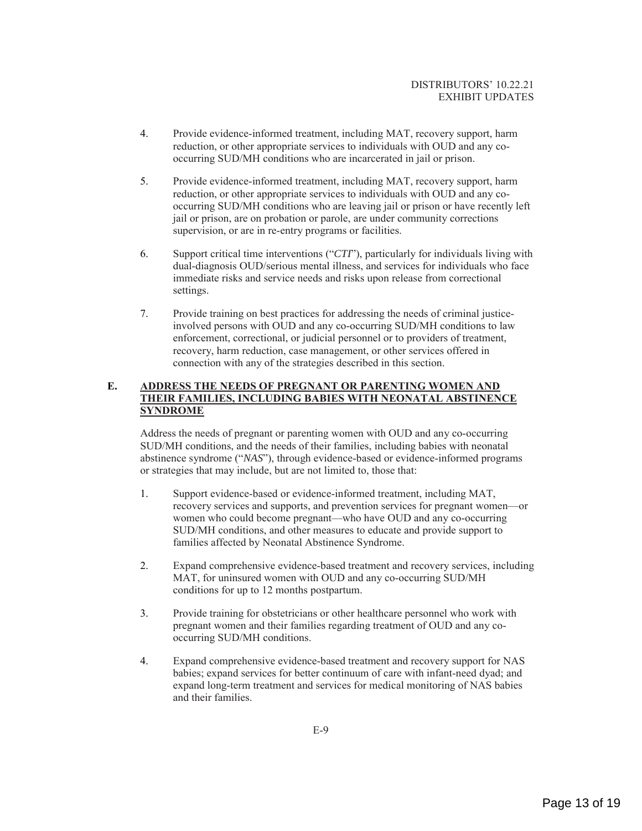- 4. Provide evidence-informed treatment, including MAT, recovery support, harm reduction, or other appropriate services to individuals with OUD and any cooccurring SUD/MH conditions who are incarcerated in jail or prison.
- 5. Provide evidence-informed treatment, including MAT, recovery support, harm reduction, or other appropriate services to individuals with OUD and any cooccurring SUD/MH conditions who are leaving jail or prison or have recently left jail or prison, are on probation or parole, are under community corrections supervision, or are in re-entry programs or facilities.
- 6. Support critical time interventions ("*CTI*"), particularly for individuals living with dual-diagnosis OUD/serious mental illness, and services for individuals who face immediate risks and service needs and risks upon release from correctional settings.
- 7. Provide training on best practices for addressing the needs of criminal justiceinvolved persons with OUD and any co-occurring SUD/MH conditions to law enforcement, correctional, or judicial personnel or to providers of treatment, recovery, harm reduction, case management, or other services offered in connection with any of the strategies described in this section.

## **E. ADDRESS THE NEEDS OF PREGNANT OR PARENTING WOMEN AND THEIR FAMILIES, INCLUDING BABIES WITH NEONATAL ABSTINENCE SYNDROME**

Address the needs of pregnant or parenting women with OUD and any co-occurring SUD/MH conditions, and the needs of their families, including babies with neonatal abstinence syndrome ("*NAS*"), through evidence-based or evidence-informed programs or strategies that may include, but are not limited to, those that:

- 1. Support evidence-based or evidence-informed treatment, including MAT, recovery services and supports, and prevention services for pregnant women—or women who could become pregnant—who have OUD and any co-occurring SUD/MH conditions, and other measures to educate and provide support to families affected by Neonatal Abstinence Syndrome.
- 2. Expand comprehensive evidence-based treatment and recovery services, including MAT, for uninsured women with OUD and any co-occurring SUD/MH conditions for up to 12 months postpartum.
- 3. Provide training for obstetricians or other healthcare personnel who work with pregnant women and their families regarding treatment of OUD and any cooccurring SUD/MH conditions.
- 4. Expand comprehensive evidence-based treatment and recovery support for NAS babies; expand services for better continuum of care with infant-need dyad; and expand long-term treatment and services for medical monitoring of NAS babies and their families.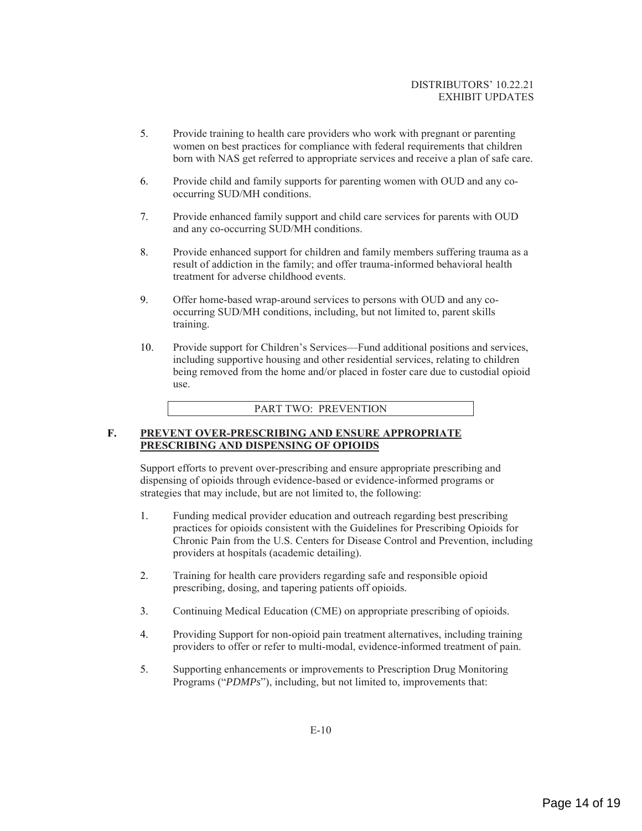- 5. Provide training to health care providers who work with pregnant or parenting women on best practices for compliance with federal requirements that children born with NAS get referred to appropriate services and receive a plan of safe care.
- 6. Provide child and family supports for parenting women with OUD and any cooccurring SUD/MH conditions.
- 7. Provide enhanced family support and child care services for parents with OUD and any co-occurring SUD/MH conditions.
- 8. Provide enhanced support for children and family members suffering trauma as a result of addiction in the family; and offer trauma-informed behavioral health treatment for adverse childhood events.
- 9. Offer home-based wrap-around services to persons with OUD and any cooccurring SUD/MH conditions, including, but not limited to, parent skills training.
- 10. Provide support for Children's Services—Fund additional positions and services, including supportive housing and other residential services, relating to children being removed from the home and/or placed in foster care due to custodial opioid use.

#### PART TWO: PREVENTION

#### **F. PREVENT OVER-PRESCRIBING AND ENSURE APPROPRIATE PRESCRIBING AND DISPENSING OF OPIOIDS**

Support efforts to prevent over-prescribing and ensure appropriate prescribing and dispensing of opioids through evidence-based or evidence-informed programs or strategies that may include, but are not limited to, the following:

- 1. Funding medical provider education and outreach regarding best prescribing practices for opioids consistent with the Guidelines for Prescribing Opioids for Chronic Pain from the U.S. Centers for Disease Control and Prevention, including providers at hospitals (academic detailing).
- 2. Training for health care providers regarding safe and responsible opioid prescribing, dosing, and tapering patients off opioids.
- 3. Continuing Medical Education (CME) on appropriate prescribing of opioids.
- 4. Providing Support for non-opioid pain treatment alternatives, including training providers to offer or refer to multi-modal, evidence-informed treatment of pain.
- 5. Supporting enhancements or improvements to Prescription Drug Monitoring Programs ("*PDMPs*"), including, but not limited to, improvements that: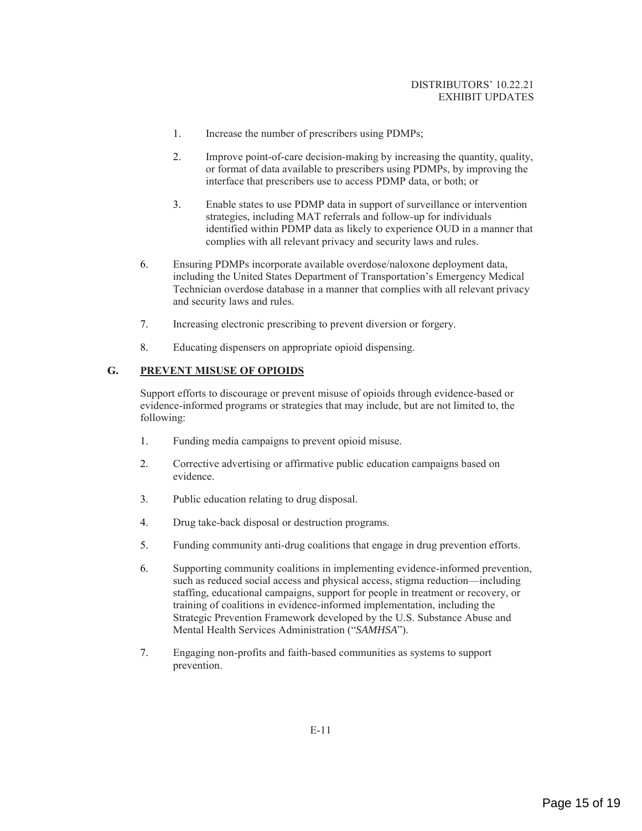- 1. Increase the number of prescribers using PDMPs;
- 2. Improve point-of-care decision-making by increasing the quantity, quality, or format of data available to prescribers using PDMPs, by improving the interface that prescribers use to access PDMP data, or both; or
- 3. Enable states to use PDMP data in support of surveillance or intervention strategies, including MAT referrals and follow-up for individuals identified within PDMP data as likely to experience OUD in a manner that complies with all relevant privacy and security laws and rules.
- 6. Ensuring PDMPs incorporate available overdose/naloxone deployment data, including the United States Department of Transportation's Emergency Medical Technician overdose database in a manner that complies with all relevant privacy and security laws and rules.
- 7. Increasing electronic prescribing to prevent diversion or forgery.
- 8. Educating dispensers on appropriate opioid dispensing.

## **G. PREVENT MISUSE OF OPIOIDS**

Support efforts to discourage or prevent misuse of opioids through evidence-based or evidence-informed programs or strategies that may include, but are not limited to, the following:

- 1. Funding media campaigns to prevent opioid misuse.
- 2. Corrective advertising or affirmative public education campaigns based on evidence.
- 3. Public education relating to drug disposal.
- 4. Drug take-back disposal or destruction programs.
- 5. Funding community anti-drug coalitions that engage in drug prevention efforts.
- 6. Supporting community coalitions in implementing evidence-informed prevention, such as reduced social access and physical access, stigma reduction—including staffing, educational campaigns, support for people in treatment or recovery, or training of coalitions in evidence-informed implementation, including the Strategic Prevention Framework developed by the U.S. Substance Abuse and Mental Health Services Administration ("*SAMHSA*").
- 7. Engaging non-profits and faith-based communities as systems to support prevention.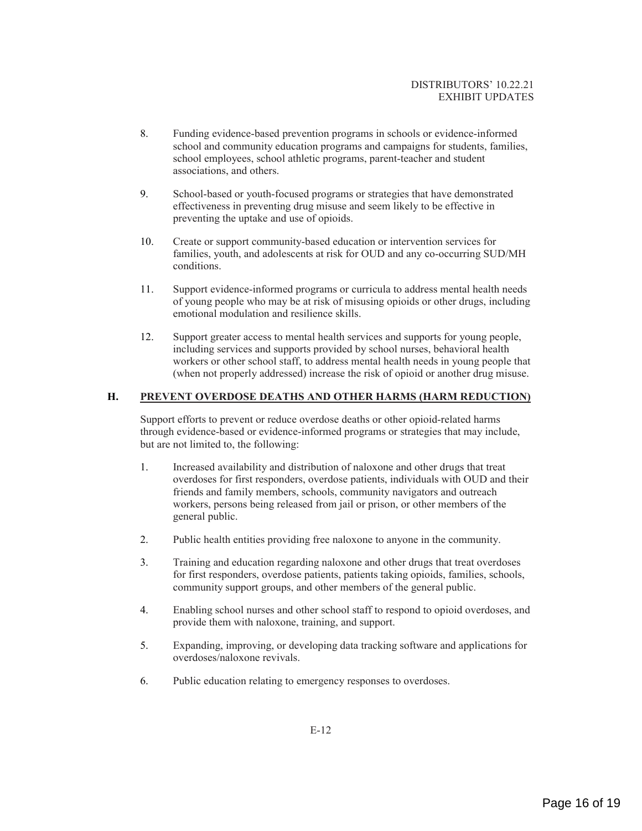- 8. Funding evidence-based prevention programs in schools or evidence-informed school and community education programs and campaigns for students, families, school employees, school athletic programs, parent-teacher and student associations, and others.
- 9. School-based or youth-focused programs or strategies that have demonstrated effectiveness in preventing drug misuse and seem likely to be effective in preventing the uptake and use of opioids.
- 10. Create or support community-based education or intervention services for families, youth, and adolescents at risk for OUD and any co-occurring SUD/MH conditions.
- 11. Support evidence-informed programs or curricula to address mental health needs of young people who may be at risk of misusing opioids or other drugs, including emotional modulation and resilience skills.
- 12. Support greater access to mental health services and supports for young people, including services and supports provided by school nurses, behavioral health workers or other school staff, to address mental health needs in young people that (when not properly addressed) increase the risk of opioid or another drug misuse.

### **H. PREVENT OVERDOSE DEATHS AND OTHER HARMS (HARM REDUCTION)**

Support efforts to prevent or reduce overdose deaths or other opioid-related harms through evidence-based or evidence-informed programs or strategies that may include, but are not limited to, the following:

- 1. Increased availability and distribution of naloxone and other drugs that treat overdoses for first responders, overdose patients, individuals with OUD and their friends and family members, schools, community navigators and outreach workers, persons being released from jail or prison, or other members of the general public.
- 2. Public health entities providing free naloxone to anyone in the community.
- 3. Training and education regarding naloxone and other drugs that treat overdoses for first responders, overdose patients, patients taking opioids, families, schools, community support groups, and other members of the general public.
- 4. Enabling school nurses and other school staff to respond to opioid overdoses, and provide them with naloxone, training, and support.
- 5. Expanding, improving, or developing data tracking software and applications for overdoses/naloxone revivals.
- 6. Public education relating to emergency responses to overdoses.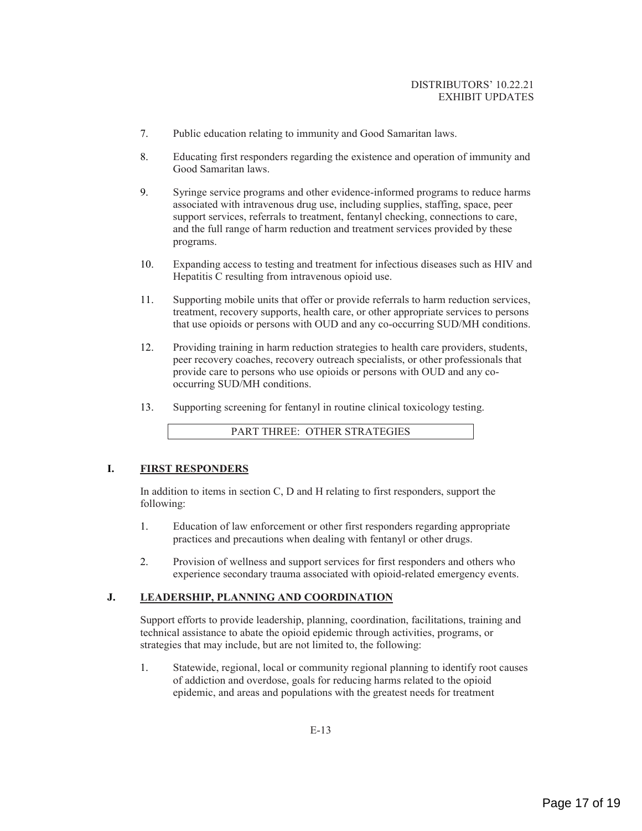- 7. Public education relating to immunity and Good Samaritan laws.
- 8. Educating first responders regarding the existence and operation of immunity and Good Samaritan laws.
- 9. Syringe service programs and other evidence-informed programs to reduce harms associated with intravenous drug use, including supplies, staffing, space, peer support services, referrals to treatment, fentanyl checking, connections to care, and the full range of harm reduction and treatment services provided by these programs.
- 10. Expanding access to testing and treatment for infectious diseases such as HIV and Hepatitis C resulting from intravenous opioid use.
- 11. Supporting mobile units that offer or provide referrals to harm reduction services, treatment, recovery supports, health care, or other appropriate services to persons that use opioids or persons with OUD and any co-occurring SUD/MH conditions.
- 12. Providing training in harm reduction strategies to health care providers, students, peer recovery coaches, recovery outreach specialists, or other professionals that provide care to persons who use opioids or persons with OUD and any cooccurring SUD/MH conditions.
- 13. Supporting screening for fentanyl in routine clinical toxicology testing.

PART THREE: OTHER STRATEGIES

#### **I. FIRST RESPONDERS**

In addition to items in section C, D and H relating to first responders, support the following:

- 1. Education of law enforcement or other first responders regarding appropriate practices and precautions when dealing with fentanyl or other drugs.
- 2. Provision of wellness and support services for first responders and others who experience secondary trauma associated with opioid-related emergency events.

#### **J. LEADERSHIP, PLANNING AND COORDINATION**

Support efforts to provide leadership, planning, coordination, facilitations, training and technical assistance to abate the opioid epidemic through activities, programs, or strategies that may include, but are not limited to, the following:

1. Statewide, regional, local or community regional planning to identify root causes of addiction and overdose, goals for reducing harms related to the opioid epidemic, and areas and populations with the greatest needs for treatment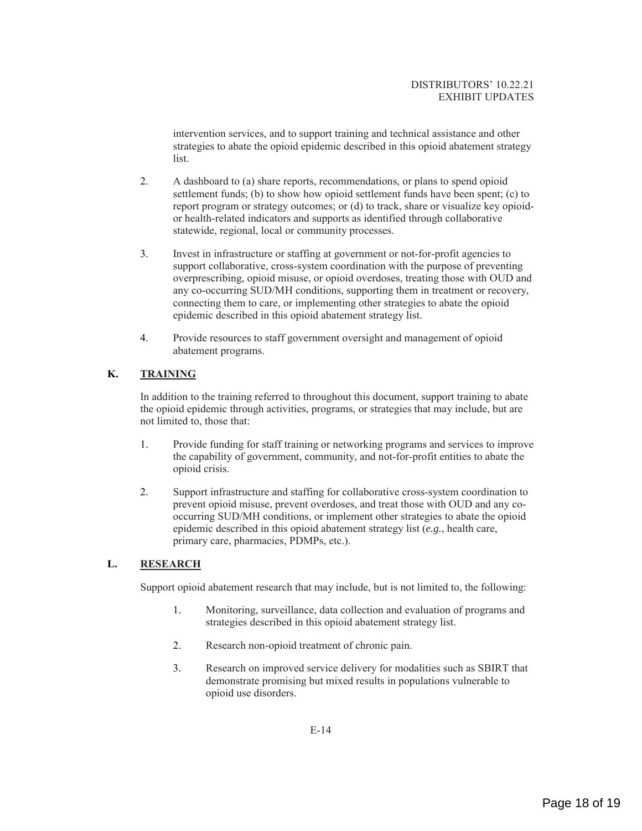intervention services, and to support training and technical assistance and other strategies to abate the opioid epidemic described in this opioid abatement strategy list.

- 2. A dashboard to (a) share reports, recommendations, or plans to spend opioid settlement funds; (b) to show how opioid settlement funds have been spent; (c) to report program or strategy outcomes; or (d) to track, share or visualize key opioidor health-related indicators and supports as identified through collaborative statewide, regional, local or community processes.
- 3. Invest in infrastructure or staffing at government or not-for-profit agencies to support collaborative, cross-system coordination with the purpose of preventing overprescribing, opioid misuse, or opioid overdoses, treating those with OUD and any co-occurring SUD/MH conditions, supporting them in treatment or recovery, connecting them to care, or implementing other strategies to abate the opioid epidemic described in this opioid abatement strategy list.
- 4. Provide resources to staff government oversight and management of opioid abatement programs.

## **K. TRAINING**

In addition to the training referred to throughout this document, support training to abate the opioid epidemic through activities, programs, or strategies that may include, but are not limited to, those that:

- 1. Provide funding for staff training or networking programs and services to improve the capability of government, community, and not-for-profit entities to abate the opioid crisis.
- 2. Support infrastructure and staffing for collaborative cross-system coordination to prevent opioid misuse, prevent overdoses, and treat those with OUD and any cooccurring SUD/MH conditions, or implement other strategies to abate the opioid epidemic described in this opioid abatement strategy list (*e.g.*, health care, primary care, pharmacies, PDMPs, etc.).

## **L. RESEARCH**

Support opioid abatement research that may include, but is not limited to, the following:

- 1. Monitoring, surveillance, data collection and evaluation of programs and strategies described in this opioid abatement strategy list.
- 2. Research non-opioid treatment of chronic pain.
- 3. Research on improved service delivery for modalities such as SBIRT that demonstrate promising but mixed results in populations vulnerable to opioid use disorders.